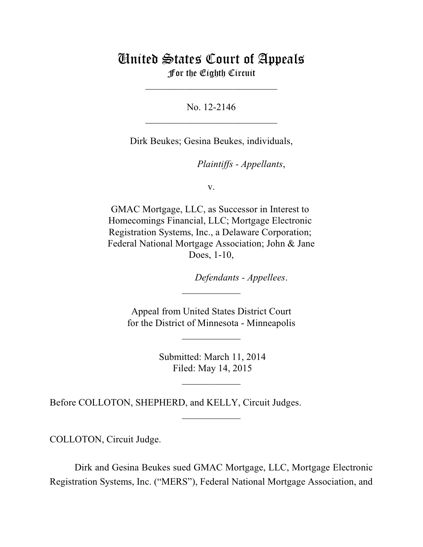## United States Court of Appeals For the Eighth Circuit

\_\_\_\_\_\_\_\_\_\_\_\_\_\_\_\_\_\_\_\_\_\_\_\_\_\_\_

No. 12-2146  $\mathcal{L}_\text{max}$  , which is a set of the set of the set of the set of the set of the set of the set of the set of the set of the set of the set of the set of the set of the set of the set of the set of the set of the set of

Dirk Beukes; Gesina Beukes, individuals,

*Plaintiffs - Appellants*,

v.

GMAC Mortgage, LLC, as Successor in Interest to Homecomings Financial, LLC; Mortgage Electronic Registration Systems, Inc., a Delaware Corporation; Federal National Mortgage Association; John & Jane Does, 1-10,

 $Defendants$  - *Appellees*.

 Appeal from United States District Court for the District of Minnesota - Minneapolis

 $\frac{1}{2}$ 

 $\overline{\phantom{a}}$  , where  $\overline{\phantom{a}}$ 

 Submitted: March 11, 2014 Filed: May 14, 2015

 $\frac{1}{2}$ 

 $\frac{1}{2}$ 

Before COLLOTON, SHEPHERD, and KELLY, Circuit Judges.

COLLOTON, Circuit Judge.

Dirk and Gesina Beukes sued GMAC Mortgage, LLC, Mortgage Electronic Registration Systems, Inc. ("MERS"), Federal National Mortgage Association, and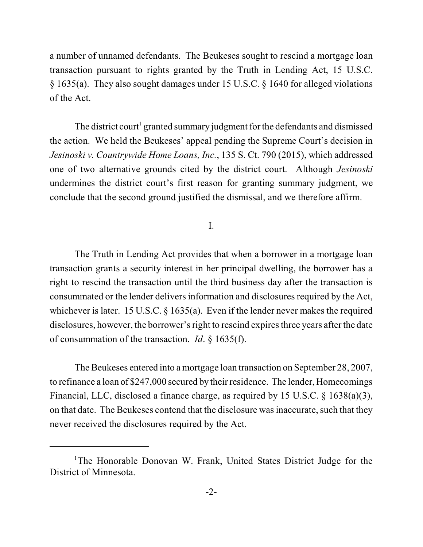a number of unnamed defendants. The Beukeses sought to rescind a mortgage loan transaction pursuant to rights granted by the Truth in Lending Act, 15 U.S.C. § 1635(a). They also sought damages under 15 U.S.C. § 1640 for alleged violations of the Act.

The district court<sup>1</sup> granted summary judgment for the defendants and dismissed the action. We held the Beukeses' appeal pending the Supreme Court's decision in *Jesinoski v. Countrywide Home Loans, Inc.*, 135 S. Ct. 790 (2015), which addressed one of two alternative grounds cited by the district court. Although *Jesinoski* undermines the district court's first reason for granting summary judgment, we conclude that the second ground justified the dismissal, and we therefore affirm.

I.

The Truth in Lending Act provides that when a borrower in a mortgage loan transaction grants a security interest in her principal dwelling, the borrower has a right to rescind the transaction until the third business day after the transaction is consummated or the lender delivers information and disclosures required by the Act, whichever is later. 15 U.S.C. § 1635(a). Even if the lender never makes the required disclosures, however, the borrower's right to rescind expires three years after the date of consummation of the transaction. *Id*. § 1635(f).

The Beukeses entered into a mortgage loan transaction on September 28, 2007, to refinance a loan of \$247,000 secured by their residence. The lender, Homecomings Financial, LLC, disclosed a finance charge, as required by 15 U.S.C. § 1638(a)(3), on that date. The Beukeses contend that the disclosure wasinaccurate, such that they never received the disclosures required by the Act.

<sup>&</sup>lt;sup>1</sup>The Honorable Donovan W. Frank, United States District Judge for the District of Minnesota.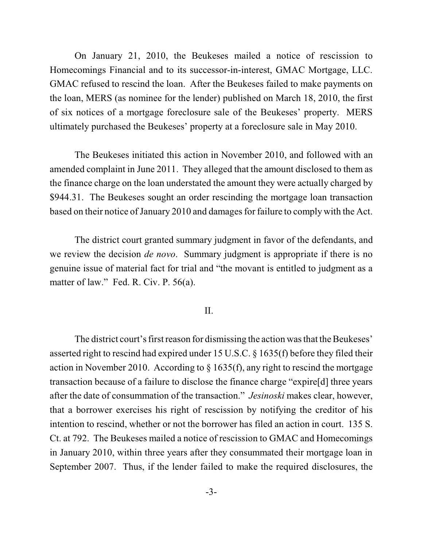On January 21, 2010, the Beukeses mailed a notice of rescission to Homecomings Financial and to its successor-in-interest, GMAC Mortgage, LLC. GMAC refused to rescind the loan. After the Beukeses failed to make payments on the loan, MERS (as nominee for the lender) published on March 18, 2010, the first of six notices of a mortgage foreclosure sale of the Beukeses' property. MERS ultimately purchased the Beukeses' property at a foreclosure sale in May 2010.

The Beukeses initiated this action in November 2010, and followed with an amended complaint in June 2011. They alleged that the amount disclosed to them as the finance charge on the loan understated the amount they were actually charged by \$944.31. The Beukeses sought an order rescinding the mortgage loan transaction based on their notice of January 2010 and damages for failure to comply with the Act.

The district court granted summary judgment in favor of the defendants, and we review the decision *de novo*. Summary judgment is appropriate if there is no genuine issue of material fact for trial and "the movant is entitled to judgment as a matter of law." Fed. R. Civ. P. 56(a).

## II.

The district court's first reason for dismissing the action was that the Beukeses' asserted right to rescind had expired under 15 U.S.C. § 1635(f) before they filed their action in November 2010. According to  $\S$  1635(f), any right to rescind the mortgage transaction because of a failure to disclose the finance charge "expire[d] three years after the date of consummation of the transaction." *Jesinoski* makes clear, however, that a borrower exercises his right of rescission by notifying the creditor of his intention to rescind, whether or not the borrower has filed an action in court. 135 S. Ct. at 792. The Beukeses mailed a notice of rescission to GMAC and Homecomings in January 2010, within three years after they consummated their mortgage loan in September 2007. Thus, if the lender failed to make the required disclosures, the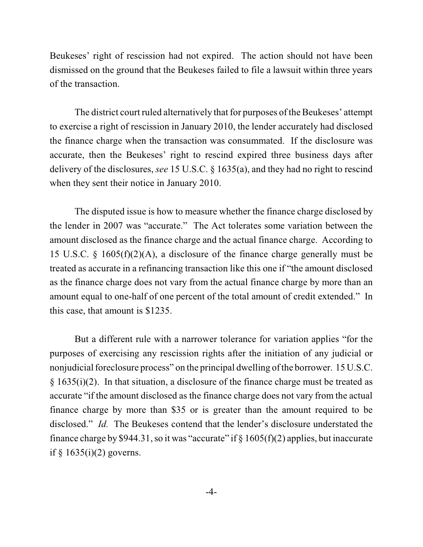Beukeses' right of rescission had not expired. The action should not have been dismissed on the ground that the Beukeses failed to file a lawsuit within three years of the transaction.

The district court ruled alternatively that for purposes of the Beukeses' attempt to exercise a right of rescission in January 2010, the lender accurately had disclosed the finance charge when the transaction was consummated. If the disclosure was accurate, then the Beukeses' right to rescind expired three business days after delivery of the disclosures, *see* 15 U.S.C. § 1635(a), and they had no right to rescind when they sent their notice in January 2010.

The disputed issue is how to measure whether the finance charge disclosed by the lender in 2007 was "accurate." The Act tolerates some variation between the amount disclosed as the finance charge and the actual finance charge. According to 15 U.S.C. § 1605(f)(2)(A), a disclosure of the finance charge generally must be treated as accurate in a refinancing transaction like this one if "the amount disclosed as the finance charge does not vary from the actual finance charge by more than an amount equal to one-half of one percent of the total amount of credit extended." In this case, that amount is \$1235.

But a different rule with a narrower tolerance for variation applies "for the purposes of exercising any rescission rights after the initiation of any judicial or nonjudicial foreclosure process" on the principal dwelling of the borrower. 15 U.S.C.  $§ 1635(i)(2)$ . In that situation, a disclosure of the finance charge must be treated as accurate "if the amount disclosed as the finance charge does not vary from the actual finance charge by more than \$35 or is greater than the amount required to be disclosed." *Id.* The Beukeses contend that the lender's disclosure understated the finance charge by \$944.31, so it was "accurate" if  $\S 1605(f)(2)$  applies, but inaccurate if  $§$  1635(i)(2) governs.